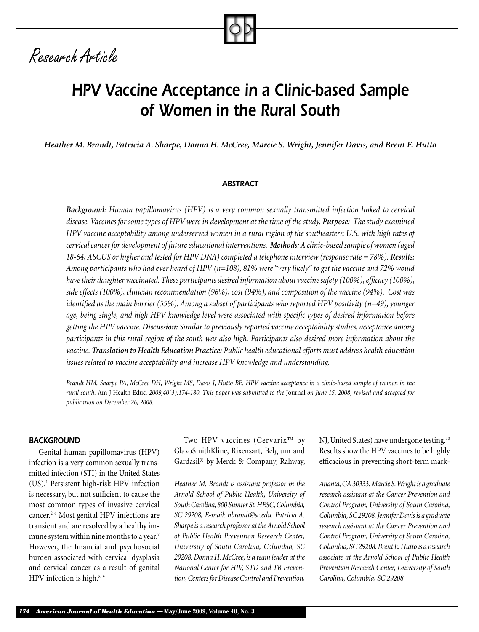# *Research Article*

# *HPV Vaccine Acceptance in a Clinic-based Sample of women in the Rural South*

*Heather M. Brandt, Patricia A. Sharpe, Donna H. McCree, Marcie S. Wright, Jennifer Davis, and Brent E. Hutto* 

#### *ABSTRACT*

*Background: Human papillomavirus (HPV) is a very common sexually transmitted infection linked to cervical disease. Vaccines for some types of HPV were in development at the time of the study. Purpose: The study examined HPV vaccine acceptability among underserved women in a rural region of the southeastern U.S. with high rates of cervical cancer for development of future educational interventions. Methods: A clinic-based sample of women (aged*  18-64; ASCUS or higher and tested for HPV DNA) completed a telephone interview (response rate = 78%). Results: *Among participants who had ever heard of HPV (n=108), 81% were "very likely" to get the vaccine and 72% would have their daughter vaccinated. These participants desired information about vaccine safety (100%), efficacy (100%), side effects (100%), clinician recommendation (96%), cost (94%), and composition of the vaccine (94%). Cost was identified as the main barrier (55%). Among a subset of participants who reported HPV positivity (n=49), younger age, being single, and high HPV knowledge level were associated with specific types of desired information before getting the HPV vaccine. Discussion: Similar to previously reported vaccine acceptability studies, acceptance among participants in this rural region of the south was also high. Participants also desired more information about the vaccine. Translation to Health Education Practice: Public health educational efforts must address health education issues related to vaccine acceptability and increase HPV knowledge and understanding.*

*Brandt HM, Sharpe PA, McCree DH, Wright MS, Davis J, Hutto BE. HPV vaccine acceptance in a clinic-based sample of women in the rural south.* Am J Health Educ*. 2009;40(3):174-180. This paper was submitted to the* Journal *on June 15, 2008, revised and accepted for publication on December 26, 2008.*

## *BACKGROUND*

Genital human papillomavirus (HPV) infection is a very common sexually transmitted infection (STI) in the United States (US).1 Persistent high-risk HPV infection is necessary, but not sufficient to cause the most common types of invasive cervical cancer.2-6 Most genital HPV infections are transient and are resolved by a healthy immune system within nine months to a year.<sup>7</sup> However, the financial and psychosocial burden associated with cervical dysplasia and cervical cancer as a result of genital HPV infection is high. $8,9$ 

Two HPV vaccines (Cervarix™ by GlaxoSmithKline, Rixensart, belgium and Gardasil® by Merck & Company, Rahway,

*Heather M. Brandt is assistant professor in the Arnold School of Public Health, University of South Carolina, 800 Sumter St. HESC, Columbia, SC 29208; E-mail: hbrandt@sc.edu. Patricia A. Sharpe is a research professor at the Arnold School of Public Health Prevention Research Center, University of South Carolina, Columbia, SC 29208. Donna H. McCree, is a team leader at the National Center for HIV, STD and TB Prevention, Centers for Disease Control and Prevention,* 

NJ, United States) have undergone testing.<sup>10</sup> Results show the HPV vaccines to be highly efficacious in preventing short-term mark-

*Atlanta, GA 30333. Marcie S. Wright is a graduate research assistant at the Cancer Prevention and Control Program, University of South Carolina, Columbia, SC 29208. Jennifer Davis is a graduate research assistant at the Cancer Prevention and Control Program, University of South Carolina, Columbia, SC 29208. Brent E. Hutto is a research associate at the Arnold School of Public Health Prevention Research Center, University of South Carolina, Columbia, SC 29208.*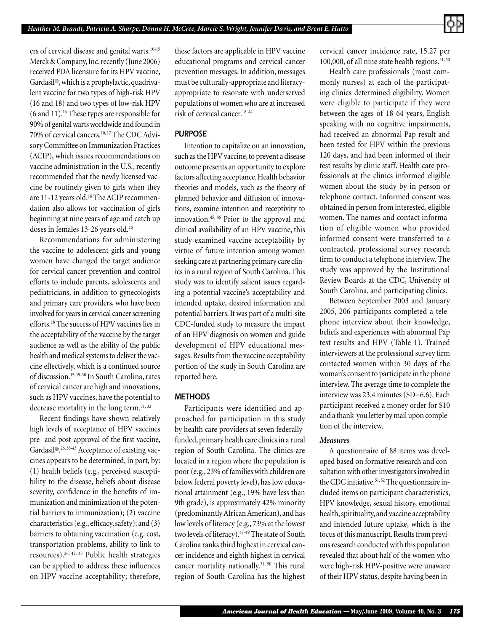ers of cervical disease and genital warts.<sup>10-15</sup> Merck & Company, Inc. recently (June 2006) received FDA licensure for its HPV vaccine, Gardasil®, which is a prophylactic, quadrivalent vaccine for two types of high-risk HPV (16 and 18) and two types of low-risk HPV (6 and 11).16 These types are responsible for 90% of genital warts worldwide and found in 70% of cervical cancers.<sup>10, 17</sup> The CDC Advisory Committee on Immunization Practices (ACIP), which issues recommendations on vaccine administration in the U.S., recently recommended that the newly licensed vaccine be routinely given to girls when they are 11-12 years old.<sup>16</sup> The ACIP recommendation also allows for vaccination of girls beginning at nine years of age and catch up doses in females 13-26 years old.<sup>16</sup>

Recommendations for administering the vaccine to adolescent girls and young women have changed the target audience for cervical cancer prevention and control efforts to include parents, adolescents and pediatricians, in addition to gynecologists and primary care providers, who have been involved for years in cervical cancer screening efforts.18 The success of HPV vaccines lies in the acceptability of the vaccine by the target audience as well as the ability of the public health and medical systems to deliver the vaccine effectively, which is a continued source of discussion.15, 19-30 In South Carolina, rates of cervical cancer are high and innovations, such as HPV vaccines, have the potential to decrease mortality in the long term.<sup>31, 32</sup>

Recent findings have shown relatively high levels of acceptance of HPV vaccines pre- and post-approval of the first vaccine, Gardasil®.<sup>26, 33-43</sup> Acceptance of existing vaccines appears to be determined, in part, by: (1) health beliefs (e.g., perceived susceptibility to the disease, beliefs about disease severity, confidence in the benefits of immunization and minimization of the potential barriers to immunization); (2) vaccine characteristics (e.g., efficacy, safety); and (3) barriers to obtaining vaccination (e.g. cost, transportation problems, ability to link to resources).26, 42, 43 Public health strategies can be applied to address these influences on HPV vaccine acceptability; therefore, these factors are applicable in HPV vaccine educational programs and cervical cancer prevention messages. In addition, messages must be culturally-appropriate and literacyappropriate to resonate with underserved populations of women who are at increased risk of cervical cancer.18, 44

## *PURPOSE*

Intention to capitalize on an innovation, such as the HPV vaccine, to prevent a disease outcome presents an opportunity to explore factors affecting acceptance. Health behavior theories and models, such as the theory of planned behavior and diffusion of innovations, examine intention and receptivity to innovation.45, 46 Prior to the approval and clinical availability of an HPV vaccine, this study examined vaccine acceptability by virtue of future intention among women seeking care at partnering primary care clinics in a rural region of South Carolina. This study was to identify salient issues regarding a potential vaccine's acceptability and intended uptake, desired information and potential barriers. It was part of a multi-site CDC-funded study to measure the impact of an HPV diagnosis on women and guide development of HPV educational messages. Results from the vaccine acceptability portion of the study in South Carolina are reported here.

## *METHODS*

Participants were identified and approached for participation in this study by health care providers at seven federallyfunded, primary health care clinics in a rural region of South Carolina. The clinics are located in a region where the population is poor (e.g., 23% of families with children are below federal poverty level), has low educational attainment (e.g., 19% have less than 9th grade), is approximately 42% minority (predominantly African American), and has low levels of literacy (e.g., 73% at the lowest two levels of literacy).47-49 The state of South Carolina ranks third highest in cervical cancer incidence and eighth highest in cervical cancer mortality nationally.<sup>31, 50</sup> This rural region of South Carolina has the highest cervical cancer incidence rate, 15.27 per 100,000, of all nine state health regions. $31,50$ 

Health care professionals (most commonly nurses) at each of the participating clinics determined eligibility. Women were eligible to participate if they were between the ages of 18-64 years, English speaking with no cognitive impairments, had received an abnormal Pap result and been tested for HPV within the previous 120 days, and had been informed of their test results by clinic staff. Health care professionals at the clinics informed eligible women about the study by in person or telephone contact. Informed consent was obtained in person from interested, eligible women. The names and contact information of eligible women who provided informed consent were transferred to a contracted, professional survey research firm to conduct a telephone interview. The study was approved by the Institutional Review boards at the CDC, University of South Carolina, and participating clinics.

between September 2003 and January 2005, 206 participants completed a telephone interview about their knowledge, beliefs and experiences with abnormal Pap test results and HPV (Table 1). Trained interviewers at the professional survey firm contacted women within 30 days of the woman's consent to participate in the phone interview. The average time to complete the interview was 23.4 minutes (SD=6.6). Each participant received a money order for \$10 and a thank-you letter by mail upon completion of the interview.

#### *Measures*

A questionnaire of 88 items was developed based on formative research and consultation with other investigators involved in the CDC initiative.<sup>51,52</sup> The questionnaire included items on participant characteristics, HPV knowledge, sexual history, emotional health, spirituality, and vaccine acceptability and intended future uptake, which is the focus of this manuscript. Results from previous research conducted with this population revealed that about half of the women who were high-risk HPV-positive were unaware of their HPV status, despite having been in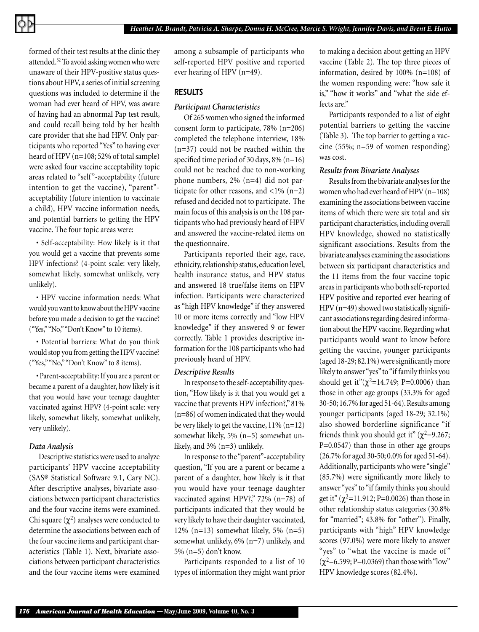formed of their test results at the clinic they attended.52 To avoid asking women who were unaware of their HPV-positive status questions about HPV, a series of initial screening questions was included to determine if the woman had ever heard of HPV, was aware of having had an abnormal Pap test result, and could recall being told by her health care provider that she had HPV. Only participants who reported "Yes" to having ever heard of HPV (n=108; 52% of total sample) were asked four vaccine acceptability topic areas related to "self"-acceptability (future intention to get the vaccine), "parent" acceptability (future intention to vaccinate a child), HPV vaccine information needs, and potential barriers to getting the HPV vaccine. The four topic areas were:

• Self-acceptability: How likely is it that you would get a vaccine that prevents some HPV infections? (4-point scale: very likely, somewhat likely, somewhat unlikely, very unlikely).

• HPV vaccine information needs: What would you want to know about the HPV vaccine before you made a decision to get the vaccine? ("Yes," "No," "Don't Know" to 10 items).

• Potential barriers: What do you think would stop you from getting the HPV vaccine? ("Yes," "No," "Don't Know" to 8 items).

• Parent-acceptability: If you are a parent or became a parent of a daughter, how likely is it that you would have your teenage daughter vaccinated against HPV? (4-point scale: very likely, somewhat likely, somewhat unlikely, very unlikely).

## *Data Analysis*

Descriptive statistics were used to analyze participants' HPV vaccine acceptability (SAS® Statistical Software 9.1, Cary NC). After descriptive analyses, bivariate associations between participant characteristics and the four vaccine items were examined. Chi square  $(\chi^2)$  analyses were conducted to determine the associations between each of the four vaccine items and participant characteristics (Table 1). Next, bivariate associations between participant characteristics and the four vaccine items were examined

among a subsample of participants who self-reported HPV positive and reported ever hearing of HPV (n=49).

## *RESULTS*

## *Participant Characteristics*

Of 265 women who signed the informed consent form to participate, 78% (n=206) completed the telephone interview, 18% (n=37) could not be reached within the specified time period of 30 days,  $8\%$  (n=16) could not be reached due to non-working phone numbers, 2% (n=4) did not participate for other reasons, and  $\langle 1\% \rangle$  (n=2) refused and decided not to participate. The main focus of this analysis is on the 108 participants who had previously heard of HPV and answered the vaccine-related items on the questionnaire.

Participants reported their age, race, ethnicity, relationship status, education level, health insurance status, and HPV status and answered 18 true/false items on HPV infection. Participants were characterized as "high HPV knowledge" if they answered 10 or more items correctly and "low HPV knowledge" if they answered 9 or fewer correctly. Table 1 provides descriptive information for the 108 participants who had previously heard of HPV.

#### *Descriptive Results*

In response to the self-acceptability question, "How likely is it that you would get a vaccine that prevents HPV infection?," 81% (n=86) of women indicated that they would be very likely to get the vaccine,  $11\%$  (n=12) somewhat likely, 5% (n=5) somewhat unlikely, and 3% (n=3) unlikely.

In response to the "parent"-acceptability question, "If you are a parent or became a parent of a daughter, how likely is it that you would have your teenage daughter vaccinated against HPV?," 72% (n=78) of participants indicated that they would be very likely to have their daughter vaccinated, 12% (n=13) somewhat likely, 5% (n=5) somewhat unlikely, 6% (n=7) unlikely, and 5% (n=5) don't know.

Participants responded to a list of 10 types of information they might want prior to making a decision about getting an HPV vaccine (Table 2). The top three pieces of information, desired by 100% (n=108) of the women responding were: "how safe it is," "how it works" and "what the side effects are."

Participants responded to a list of eight potential barriers to getting the vaccine (Table 3). The top barrier to getting a vaccine (55%; n=59 of women responding) was cost.

#### *Results from Bivariate Analyses*

Results from the bivariate analyses for the women who had ever heard of HPV (n=108) examining the associations between vaccine items of which there were six total and six participant characteristics, including overall HPV knowledge, showed no statistically significant associations. Results from the bivariate analyses examining the associations between six participant characteristics and the 11 items from the four vaccine topic areas in participants who both self-reported HPV positive and reported ever hearing of HPV (n=49) showed two statistically significant associations regarding desired information about the HPV vaccine. Regarding what participants would want to know before getting the vaccine, younger participants (aged 18-29; 82.1%) were significantly more likely to answer "yes" to "if family thinks you should get it" $(\chi^2=14.749; P=0.0006)$  than those in other age groups (33.3% for aged 30-50; 16.7% for aged 51-64). Results among younger participants (aged 18-29; 32.1%) also showed borderline significance "if friends think you should get it"  $(\chi^2=9.267;$ P=0.0547) than those in other age groups (26.7% for aged 30-50; 0.0% for aged 51-64). Additionally, participants who were "single" (85.7%) were significantly more likely to answer "yes" to "if family thinks you should get it"  $(\chi^2=11.912; P=0.0026)$  than those in other relationship status categories (30.8% for "married"; 43.8% for "other"). Finally, participants with "high" HPV knowledge scores (97.0%) were more likely to answer "yes" to "what the vaccine is made of"  $(χ²=6.599; P=0.0369)$  than those with "low" HPV knowledge scores (82.4%).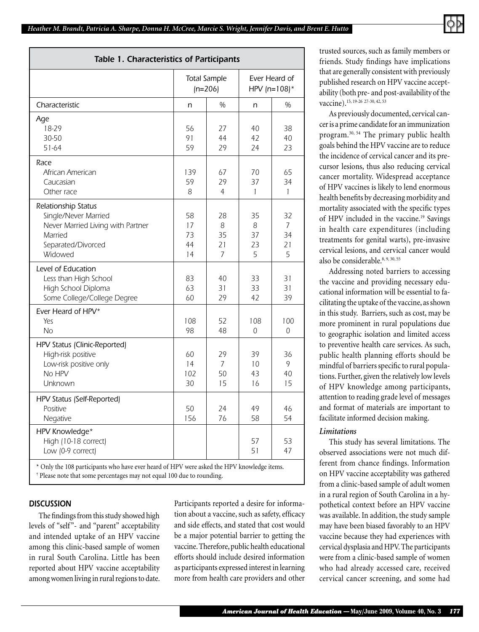| Table 1. Characteristics of Participants                                                                                     |                                  |                          |                          |                                   |  |  |  |
|------------------------------------------------------------------------------------------------------------------------------|----------------------------------|--------------------------|--------------------------|-----------------------------------|--|--|--|
|                                                                                                                              | <b>Total Sample</b><br>$(n=206)$ |                          |                          | Ever Heard of<br>HPV ( $n=108$ )* |  |  |  |
| Characteristic                                                                                                               | n                                | $\frac{0}{0}$            | n                        | $\%$                              |  |  |  |
| Age<br>18-29<br>30-50<br>$51 - 64$                                                                                           | 56<br>91<br>59                   | 27<br>44<br>29           | 40<br>42<br>24           | 38<br>40<br>23                    |  |  |  |
| Race<br>African American<br>Caucasian<br>Other race                                                                          | 139<br>59<br>8                   | 67<br>29<br>4            | 70<br>37<br>1            | 65<br>34<br>1                     |  |  |  |
| Relationship Status<br>Single/Never Married<br>Never Married Living with Partner<br>Married<br>Separated/Divorced<br>Widowed | 58<br>17<br>73<br>44<br>14       | 28<br>8<br>35<br>21<br>7 | 35<br>8<br>37<br>23<br>5 | 32<br>7<br>34<br>21<br>5          |  |  |  |
| Level of Education<br>Less than High School<br>High School Diploma<br>Some College/College Degree                            | 83<br>63<br>60                   | 40<br>31<br>29           | 33<br>33<br>42           | 31<br>31<br>39                    |  |  |  |
| Ever Heard of HPV*<br>Yes<br>No                                                                                              | 108<br>98                        | 52<br>48                 | 108<br>0                 | 100<br>0                          |  |  |  |
| HPV Status (Clinic-Reported)<br>High-risk positive<br>Low-risk positive only<br>No HPV<br>Unknown                            | 60<br>14<br>102<br>30            | 29<br>7<br>50<br>15      | 39<br>10<br>43<br>16     | 36<br>9<br>40<br>15               |  |  |  |
| HPV Status (Self-Reported)<br>Positive<br>Negative                                                                           | 50<br>156                        | 24<br>76                 | 49<br>58                 | 46<br>54                          |  |  |  |
| HPV Knowledge*<br>High (10-18 correct)<br>Low (0-9 correct)                                                                  |                                  |                          | 57<br>51                 | 53<br>47                          |  |  |  |
| * Only the 108 participants who have ever heard of HPV were asked the HPV knowledge items.                                   |                                  |                          |                          |                                   |  |  |  |

† Please note that some percentages may not equal 100 due to rounding.

## *DISCUSSION*

The findings from this study showed high levels of "self"- and "parent" acceptability and intended uptake of an HPV vaccine among this clinic-based sample of women in rural South Carolina. Little has been reported about HPV vaccine acceptability among women living in rural regions to date. Participants reported a desire for information about a vaccine, such as safety, efficacy and side effects, and stated that cost would be a major potential barrier to getting the vaccine. Therefore, public health educational efforts should include desired information as participants expressed interest in learning more from health care providers and other trusted sources, such as family members or friends. Study findings have implications that are generally consistent with previously published research on HPV vaccine acceptability (both pre- and post-availability of the vaccine).15, 19-26 27-30, 42, 53

As previously documented, cervical cancer is a prime candidate for an immunization program.30, 54 The primary public health goals behind the HPV vaccine are to reduce the incidence of cervical cancer and its precursor lesions, thus also reducing cervical cancer mortality. Widespread acceptance of HPV vaccines is likely to lend enormous health benefits by decreasing morbidity and mortality associated with the specific types of HPV included in the vaccine.<sup>19</sup> Savings in health care expenditures (including treatments for genital warts), pre-invasive cervical lesions, and cervical cancer would also be considerable.<sup>8, 9, 30, 55</sup>

Addressing noted barriers to accessing the vaccine and providing necessary educational information will be essential to facilitating the uptake of the vaccine, as shown in this study. Barriers, such as cost, may be more prominent in rural populations due to geographic isolation and limited access to preventive health care services. As such, public health planning efforts should be mindful of barriers specific to rural populations. Further, given the relatively low levels of HPV knowledge among participants, attention to reading grade level of messages and format of materials are important to facilitate informed decision making.

## *Limitations*

This study has several limitations. The observed associations were not much different from chance findings. Information on HPV vaccine acceptability was gathered from a clinic-based sample of adult women in a rural region of South Carolina in a hypothetical context before an HPV vaccine was available. In addition, the study sample may have been biased favorably to an HPV vaccine because they had experiences with cervical dysplasia and HPV. The participants were from a clinic-based sample of women who had already accessed care, received cervical cancer screening, and some had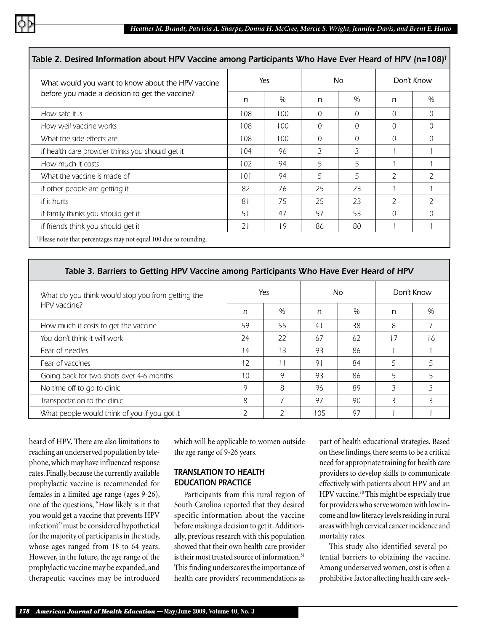| Table 2. Desired Information about HPV Vaccine among Participants Who Have Ever Heard of HPV (n=108) <sup>†</sup> |     |               |          |               |                          |                          |  |
|-------------------------------------------------------------------------------------------------------------------|-----|---------------|----------|---------------|--------------------------|--------------------------|--|
| What would you want to know about the HPV vaccine<br>before you made a decision to get the vaccine?               | Yes |               | No.      |               | Don't Know               |                          |  |
|                                                                                                                   | n   | $\frac{0}{0}$ | n        | $\frac{0}{0}$ | n                        | $\frac{0}{0}$            |  |
| How safe it is                                                                                                    | 108 | 100           | $\Omega$ | $\Omega$      | $\Omega$                 | $\Omega$                 |  |
| How well vaccine works                                                                                            | 108 | 100           | $\Omega$ | $\Omega$      | 0                        | 0                        |  |
| What the side effects are                                                                                         | 108 | 100           | $\Omega$ | $\Omega$      | $\Omega$                 | $\Omega$                 |  |
| If health care provider thinks you should get it                                                                  | 104 | 96            | 3        | 3             |                          |                          |  |
| How much it costs                                                                                                 | 102 | 94            | 5        | 5             |                          |                          |  |
| What the vaccine is made of                                                                                       | 101 | 94            | 5        | 5             | 2                        | $\overline{\phantom{a}}$ |  |
| If other people are getting it                                                                                    | 82  | 76            | 25       | 23            |                          |                          |  |
| If it hurts                                                                                                       | 81  | 75            | 25       | 23            | $\overline{\phantom{a}}$ | $\overline{\phantom{a}}$ |  |
| If family thinks you should get it                                                                                | 51  | 47            | 57       | 53            | $\Omega$                 | 0                        |  |
| If friends think you should get it                                                                                | 21  | 19            | 86       | 80            |                          |                          |  |
| <sup>†</sup> Please note that percentages may not equal 100 due to rounding.                                      |     |               |          |               |                          |                          |  |

| Table 3. Barriers to Getting HPV Vaccine among Participants Who Have Ever Heard of HPV |    |      |     |      |    |            |  |  |
|----------------------------------------------------------------------------------------|----|------|-----|------|----|------------|--|--|
| What do you think would stop you from getting the                                      |    | Yes  |     | No.  |    | Don't Know |  |  |
| HPV vaccine?                                                                           | n  | $\%$ | n   | $\%$ | n  | $\%$       |  |  |
| How much it costs to get the vaccine                                                   | 59 | 55   | 41  | 38   | 8  |            |  |  |
| You don't think it will work                                                           | 24 | 22   | 67  | 62   | 17 | 16         |  |  |
| Fear of needles                                                                        | 14 | 13   | 93  | 86   |    |            |  |  |
| Fear of vaccines                                                                       | 12 |      | 91  | 84   | 5  | 5          |  |  |
| Going back for two shots over 4-6 months                                               | 10 | 9    | 93  | 86   | 5  | 5          |  |  |
| No time off to go to clinic                                                            | 9  | 8    | 96  | 89   | 3  | 3          |  |  |
| Transportation to the clinic                                                           | 8  |      | 97  | 90   | 3  | 3          |  |  |
| What people would think of you if you got it                                           | っ  |      | 105 | 97   |    |            |  |  |

heard of HPV. There are also limitations to reaching an underserved population by telephone, which may have influenced response rates. Finally, because the currently available prophylactic vaccine is recommended for females in a limited age range (ages 9-26), one of the questions, "How likely is it that you would get a vaccine that prevents HPV infection?" must be considered hypothetical for the majority of participants in the study, whose ages ranged from 18 to 64 years. However, in the future, the age range of the prophylactic vaccine may be expanded, and therapeutic vaccines may be introduced

which will be applicable to women outside the age range of 9-26 years.

## *TRANSLATION TO HEALTH EDUCATION PRACTICE*

Participants from this rural region of South Carolina reported that they desired specific information about the vaccine before making a decision to get it. Additionally, previous research with this population showed that their own health care provider is their most trusted source of information.<sup>51</sup> This finding underscores the importance of health care providers' recommendations as

part of health educational strategies. based on these findings, there seems to be a critical need for appropriate training for health care providers to develop skills to communicate effectively with patients about HPV and an HPV vaccine.<sup>18</sup> This might be especially true for providers who serve women with low income and low literacy levels residing in rural areas with high cervical cancer incidence and mortality rates.

This study also identified several potential barriers to obtaining the vaccine. Among underserved women, cost is often a prohibitive factor affecting health care seek-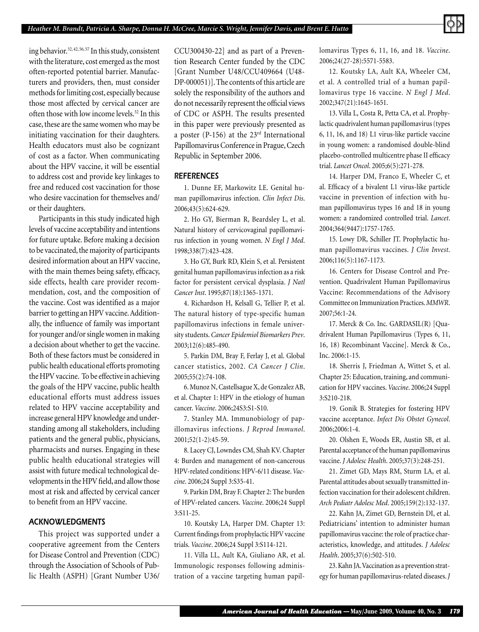ing behavior.32, 42, 56, 57 In this study, consistent with the literature, cost emerged as the most often-reported potential barrier. Manufacturers and providers, then, must consider methods for limiting cost, especially because those most affected by cervical cancer are often those with low income levels.<sup>32</sup> In this case, these are the same women who may be initiating vaccination for their daughters. Health educators must also be cognizant of cost as a factor. When communicating about the HPV vaccine, it will be essential to address cost and provide key linkages to free and reduced cost vaccination for those who desire vaccination for themselves and/ or their daughters.

Participants in this study indicated high levels of vaccine acceptability and intentions for future uptake. before making a decision to be vaccinated, the majority of participants desired information about an HPV vaccine, with the main themes being safety, efficacy, side effects, health care provider recommendation, cost, and the composition of the vaccine. Cost was identified as a major barrier to getting an HPV vaccine. Additionally, the influence of family was important for younger and/or single women in making a decision about whether to get the vaccine. both of these factors must be considered in public health educational efforts promoting the HPV vaccine. To be effective in achieving the goals of the HPV vaccine, public health educational efforts must address issues related to HPV vaccine acceptability and increase general HPV knowledge and understanding among all stakeholders, including patients and the general public, physicians, pharmacists and nurses. Engaging in these public health educational strategies will assist with future medical technological developments in the HPV field, and allow those most at risk and affected by cervical cancer to benefit from an HPV vaccine.

## *ACKNOwLEDGMENTS*

This project was supported under a cooperative agreement from the Centers for Disease Control and Prevention (CDC) through the Association of Schools of Public Health (ASPH) [Grant Number U36/

CCU300430-22] and as part of a Prevention Research Center funded by the CDC [Grant Number U48/CCU409664 (U48- DP-000051)]. The contents of this article are solely the responsibility of the authors and do not necessarily represent the official views of CDC or ASPH. The results presented in this paper were previously presented as a poster (P-156) at the  $23<sup>rd</sup>$  International Papillomavirus Conference in Prague, Czech Republic in September 2006.

## *REFERENCES*

1. Dunne EF, Markowitz LE. Genital human papillomavirus infection. *Clin Infect Dis*. 2006;43(5):624-629.

2. Ho GY, bierman R, beardsley L, et al. Natural history of cervicovaginal papillomavirus infection in young women. *N Engl J Med*. 1998;338(7):423-428.

3. Ho GY, burk RD, Klein S, et al. Persistent genital human papillomavirus infection as a risk factor for persistent cervical dysplasia. *J Natl Cancer Inst*. 1995;87(18):1365-1371.

4. Richardson H, Kelsall G, Tellier P, et al. The natural history of type-specific human papillomavirus infections in female university students. *Cancer Epidemiol Biomarkers Prev*. 2003;12(6):485-490.

5. Parkin DM, bray F, Ferlay J, et al. Global cancer statistics, 2002. *CA Cancer J Clin*. 2005;55(2):74-108.

6. Munoz N, Castellsague X, de Gonzalez Ab, et al. Chapter 1: HPV in the etiology of human cancer. *Vaccine*. 2006;24S3:S1-S10.

7. Stanley MA. Immunobiology of papillomavirus infections. *J Reprod Immunol*. 2001;52(1-2):45-59.

8. Lacey CJ, Lowndes CM, Shah KV. Chapter 4: burden and management of non-cancerous HPV-related conditions: HPV-6/11 disease. *Vaccine*. 2006;24 Suppl 3:S35-41.

9. Parkin DM, bray F. Chapter 2: The burden of HPV-related cancers. *Vaccine*. 2006;24 Suppl 3:S11-25.

10. Koutsky LA, Harper DM. Chapter 13: Current findings from prophylactic HPV vaccine trials. *Vaccine*. 2006;24 Suppl 3:S114-121.

11. Villa LL, Ault KA, Giuliano AR, et al. Immunologic responses following administration of a vaccine targeting human papillomavirus Types 6, 11, 16, and 18. *Vaccine*. 2006;24(27-28):5571-5583.

12. Koutsky LA, Ault KA, Wheeler CM, et al. A controlled trial of a human papillomavirus type 16 vaccine. *N Engl J Med*. 2002;347(21):1645-1651.

13. Villa L, Costa R, Petta CA, et al. Prophylactic quadrivalent human papillomavirus (types 6, 11, 16, and 18) L1 virus-like particle vaccine in young women: a randomised double-blind placebo-controlled multicentre phase II efficacy trial. *Lancet Oncol*. 2005;6(5):271-278.

14. Harper DM, Franco E, Wheeler C, et al. Efficacy of a bivalent L1 virus-like particle vaccine in prevention of infection with human papillomavirus types 16 and 18 in young women: a randomized controlled trial. *Lancet*. 2004;364(9447):1757-1765.

15. Lowy DR, Schiller JT. Prophylactic human papillomavirus vaccines. *J Clin Invest*. 2006;116(5):1167-1173.

16. Centers for Disease Control and Prevention. Quadrivalent Human Papillomavirus Vaccine: Recommendations of the Advisory Committee on Immunization Practices. *MMWR*. 2007;56:1-24.

17. Merck & Co. Inc. GARDASIL(R) [Quadrivalent Human Papillomavirus (Types 6, 11, 16, 18) Recombinant Vaccine]. Merck & Co., Inc. 2006:1-15.

18. Sherris J, Friedman A, Wittet S, et al. Chapter 25: Education, training, and communication for HPV vaccines. *Vaccine*. 2006;24 Suppl 3:S210-218.

19. Gonik b. Strategies for fostering HPV vaccine acceptance. *Infect Dis Obstet Gynecol*. 2006;2006:1-4.

20. Olshen E, Woods ER, Austin Sb, et al. Parental acceptance of the human papillomavirus vaccine. *J Adolesc Health*. 2005;37(3):248-251.

21. zimet GD, Mays RM, Sturm LA, et al. Parental attitudes about sexually transmitted infection vaccination for their adolescent children. *Arch Pediatr Adolesc Med*. 2005;159(2):132-137.

22. Kahn JA, zimet GD, bernstein DI, et al. Pediatricians' intention to administer human papillomavirus vaccine: the role of practice characteristics, knowledge, and attitudes. *J Adolesc Health*. 2005;37(6):502-510.

23. Kahn JA. Vaccination as a prevention strategy for human papillomavirus-related diseases. *J*